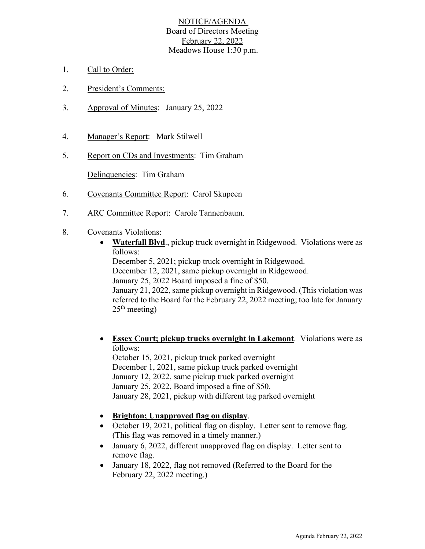## NOTICE/AGENDA Board of Directors Meeting February 22, 2022 Meadows House 1:30 p.m.

- 1. Call to Order:
- 2. President's Comments:
- 3. Approval of Minutes: January 25, 2022
- 4. Manager's Report: Mark Stilwell
- 5. Report on CDs and Investments: Tim Graham

Delinquencies: Tim Graham

- 6. Covenants Committee Report: Carol Skupeen
- 7. ARC Committee Report: Carole Tannenbaum.
- 8. Covenants Violations:
	- **Waterfall Blvd**., pickup truck overnight in Ridgewood. Violations were as follows:

December 5, 2021; pickup truck overnight in Ridgewood. December 12, 2021, same pickup overnight in Ridgewood. January 25, 2022 Board imposed a fine of \$50. January 21, 2022, same pickup overnight in Ridgewood. (This violation was referred to the Board for the February 22, 2022 meeting; too late for January  $25<sup>th</sup> meeting)$ 

- **Essex Court; pickup trucks overnight in Lakemont**. Violations were as follows: October 15, 2021, pickup truck parked overnight December 1, 2021, same pickup truck parked overnight January 12, 2022, same pickup truck parked overnight January 25, 2022, Board imposed a fine of \$50. January 28, 2021, pickup with different tag parked overnight
- **Brighton; Unapproved flag on display**.
- October 19, 2021, political flag on display. Letter sent to remove flag. (This flag was removed in a timely manner.)
- January 6, 2022, different unapproved flag on display. Letter sent to remove flag.
- January 18, 2022, flag not removed (Referred to the Board for the February 22, 2022 meeting.)